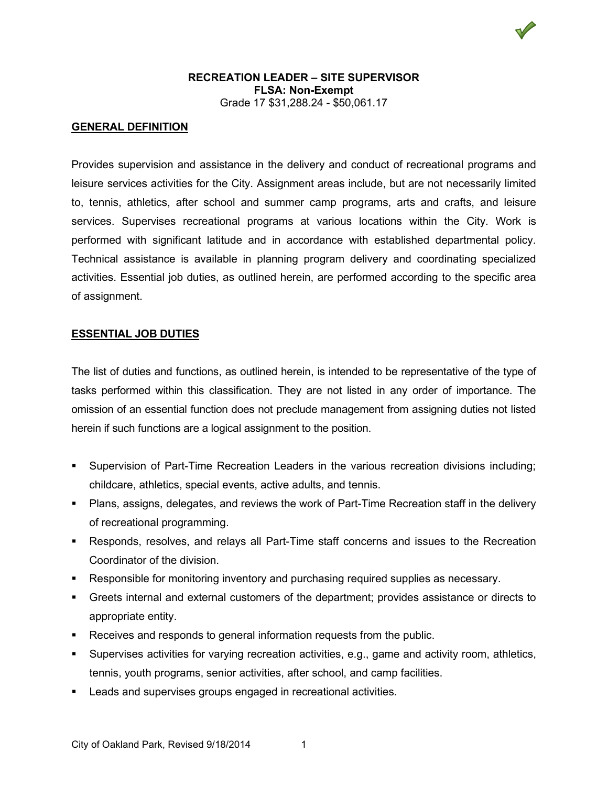

## **GENERAL DEFINITION**

Provides supervision and assistance in the delivery and conduct of recreational programs and leisure services activities for the City. Assignment areas include, but are not necessarily limited to, tennis, athletics, after school and summer camp programs, arts and crafts, and leisure services. Supervises recreational programs at various locations within the City. Work is performed with significant latitude and in accordance with established departmental policy. Technical assistance is available in planning program delivery and coordinating specialized activities. Essential job duties, as outlined herein, are performed according to the specific area of assignment.

#### **ESSENTIAL JOB DUTIES**

The list of duties and functions, as outlined herein, is intended to be representative of the type of tasks performed within this classification. They are not listed in any order of importance. The omission of an essential function does not preclude management from assigning duties not listed herein if such functions are a logical assignment to the position.

- Supervision of Part-Time Recreation Leaders in the various recreation divisions including; childcare, athletics, special events, active adults, and tennis.
- Plans, assigns, delegates, and reviews the work of Part-Time Recreation staff in the delivery of recreational programming.
- Responds, resolves, and relays all Part-Time staff concerns and issues to the Recreation Coordinator of the division.
- Responsible for monitoring inventory and purchasing required supplies as necessary.
- Greets internal and external customers of the department; provides assistance or directs to appropriate entity.
- **Receives and responds to general information requests from the public.**
- Supervises activities for varying recreation activities, e.g., game and activity room, athletics, tennis, youth programs, senior activities, after school, and camp facilities.
- Leads and supervises groups engaged in recreational activities.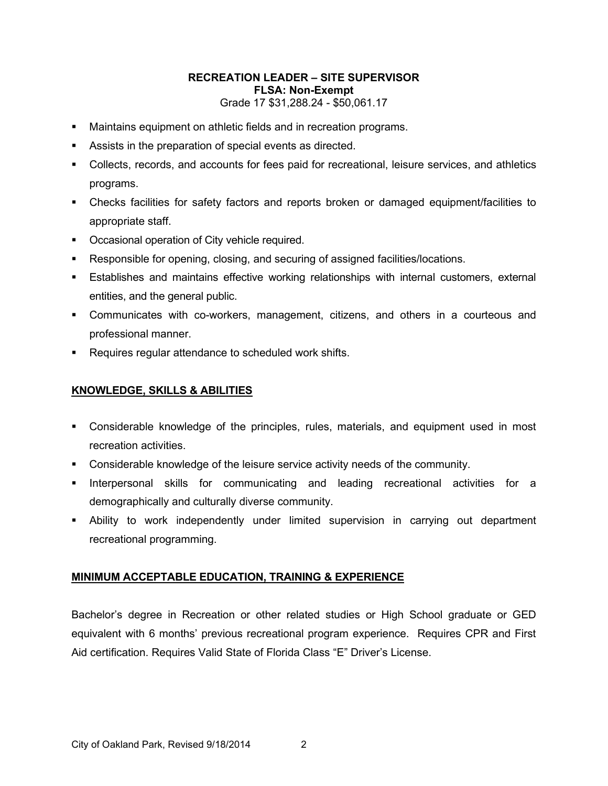- Maintains equipment on athletic fields and in recreation programs.
- Assists in the preparation of special events as directed.
- Collects, records, and accounts for fees paid for recreational, leisure services, and athletics programs.
- Checks facilities for safety factors and reports broken or damaged equipment/facilities to appropriate staff.
- **Occasional operation of City vehicle required.**
- Responsible for opening, closing, and securing of assigned facilities/locations.
- Establishes and maintains effective working relationships with internal customers, external entities, and the general public.
- Communicates with co-workers, management, citizens, and others in a courteous and professional manner.
- **Requires regular attendance to scheduled work shifts.**

## **KNOWLEDGE, SKILLS & ABILITIES**

- Considerable knowledge of the principles, rules, materials, and equipment used in most recreation activities.
- Considerable knowledge of the leisure service activity needs of the community.
- **Interpersonal skills for communicating and leading recreational activities for a** demographically and culturally diverse community.
- Ability to work independently under limited supervision in carrying out department recreational programming.

# **MINIMUM ACCEPTABLE EDUCATION, TRAINING & EXPERIENCE**

Bachelor's degree in Recreation or other related studies or High School graduate or GED equivalent with 6 months' previous recreational program experience. Requires CPR and First Aid certification. Requires Valid State of Florida Class "E" Driver's License.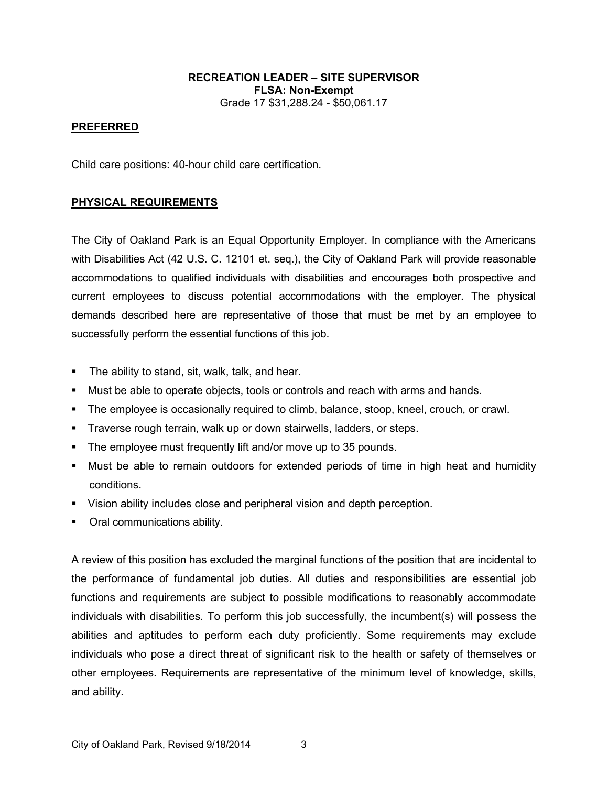### **PREFERRED**

Child care positions: 40-hour child care certification.

### **PHYSICAL REQUIREMENTS**

The City of Oakland Park is an Equal Opportunity Employer. In compliance with the Americans with Disabilities Act (42 U.S. C. 12101 et. seq.), the City of Oakland Park will provide reasonable accommodations to qualified individuals with disabilities and encourages both prospective and current employees to discuss potential accommodations with the employer. The physical demands described here are representative of those that must be met by an employee to successfully perform the essential functions of this job.

- **The ability to stand, sit, walk, talk, and hear.**
- Must be able to operate objects, tools or controls and reach with arms and hands.
- **The employee is occasionally required to climb, balance, stoop, kneel, crouch, or crawl.**
- **Traverse rough terrain, walk up or down stairwells, ladders, or steps.**
- **The employee must frequently lift and/or move up to 35 pounds.**
- Must be able to remain outdoors for extended periods of time in high heat and humidity conditions.
- Vision ability includes close and peripheral vision and depth perception.
- Oral communications ability.

A review of this position has excluded the marginal functions of the position that are incidental to the performance of fundamental job duties. All duties and responsibilities are essential job functions and requirements are subject to possible modifications to reasonably accommodate individuals with disabilities. To perform this job successfully, the incumbent(s) will possess the abilities and aptitudes to perform each duty proficiently. Some requirements may exclude individuals who pose a direct threat of significant risk to the health or safety of themselves or other employees. Requirements are representative of the minimum level of knowledge, skills, and ability.